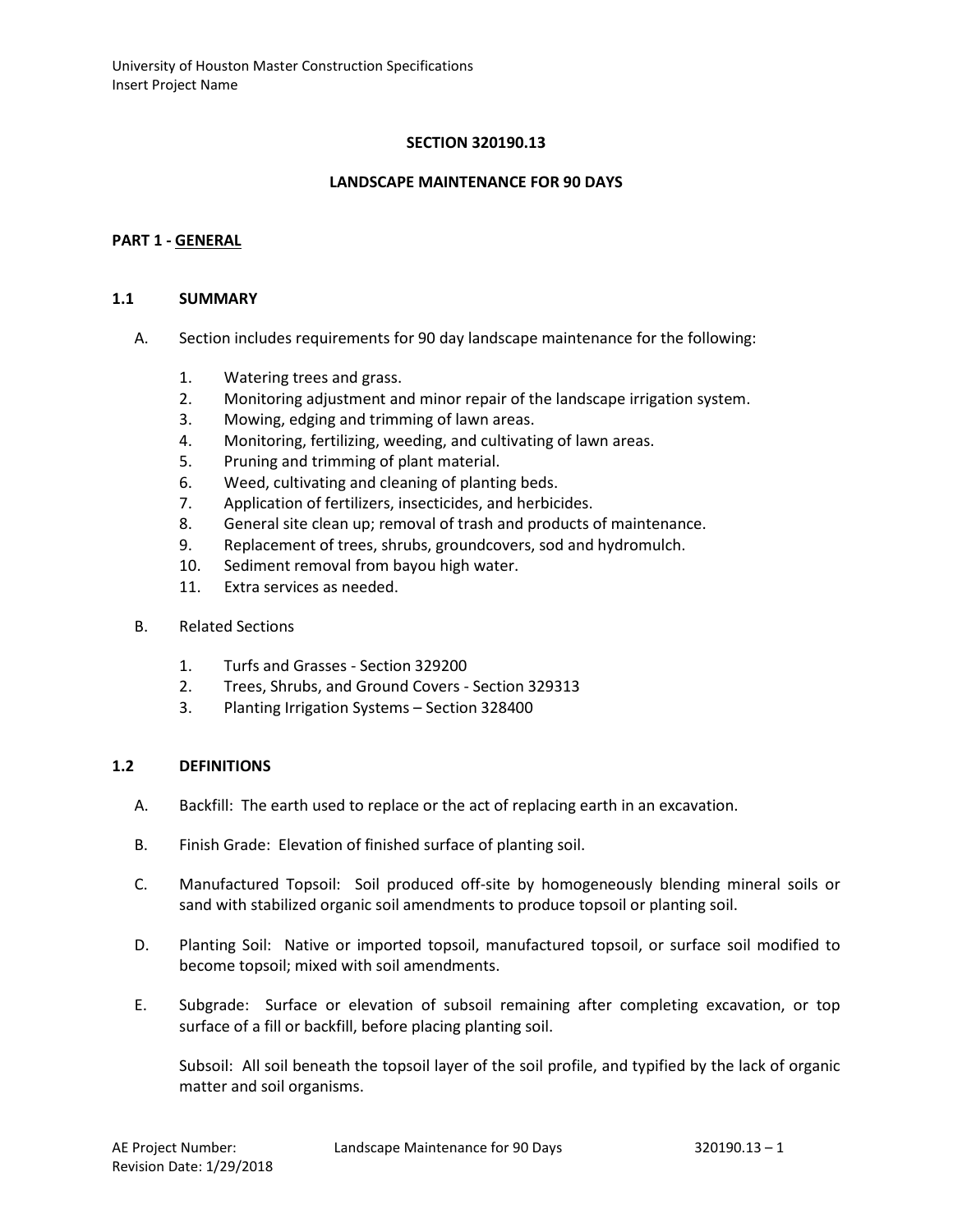### **SECTION 320190.13**

#### **LANDSCAPE MAINTENANCE FOR 90 DAYS**

#### **PART 1 - GENERAL**

#### **1.1 SUMMARY**

- A. Section includes requirements for 90 day landscape maintenance for the following:
	- 1. Watering trees and grass.
	- 2. Monitoring adjustment and minor repair of the landscape irrigation system.
	- 3. Mowing, edging and trimming of lawn areas.
	- 4. Monitoring, fertilizing, weeding, and cultivating of lawn areas.
	- 5. Pruning and trimming of plant material.
	- 6. Weed, cultivating and cleaning of planting beds.
	- 7. Application of fertilizers, insecticides, and herbicides.
	- 8. General site clean up; removal of trash and products of maintenance.
	- 9. Replacement of trees, shrubs, groundcovers, sod and hydromulch.
	- 10. Sediment removal from bayou high water.
	- 11. Extra services as needed.
- B. Related Sections
	- 1. Turfs and Grasses Section 329200
	- 2. Trees, Shrubs, and Ground Covers Section 329313
	- 3. Planting Irrigation Systems Section 328400

#### **1.2 DEFINITIONS**

- A. Backfill: The earth used to replace or the act of replacing earth in an excavation.
- B. Finish Grade: Elevation of finished surface of planting soil.
- C. Manufactured Topsoil: Soil produced off-site by homogeneously blending mineral soils or sand with stabilized organic soil amendments to produce topsoil or planting soil.
- D. Planting Soil: Native or imported topsoil, manufactured topsoil, or surface soil modified to become topsoil; mixed with soil amendments.
- E. Subgrade: Surface or elevation of subsoil remaining after completing excavation, or top surface of a fill or backfill, before placing planting soil.

Subsoil: All soil beneath the topsoil layer of the soil profile, and typified by the lack of organic matter and soil organisms.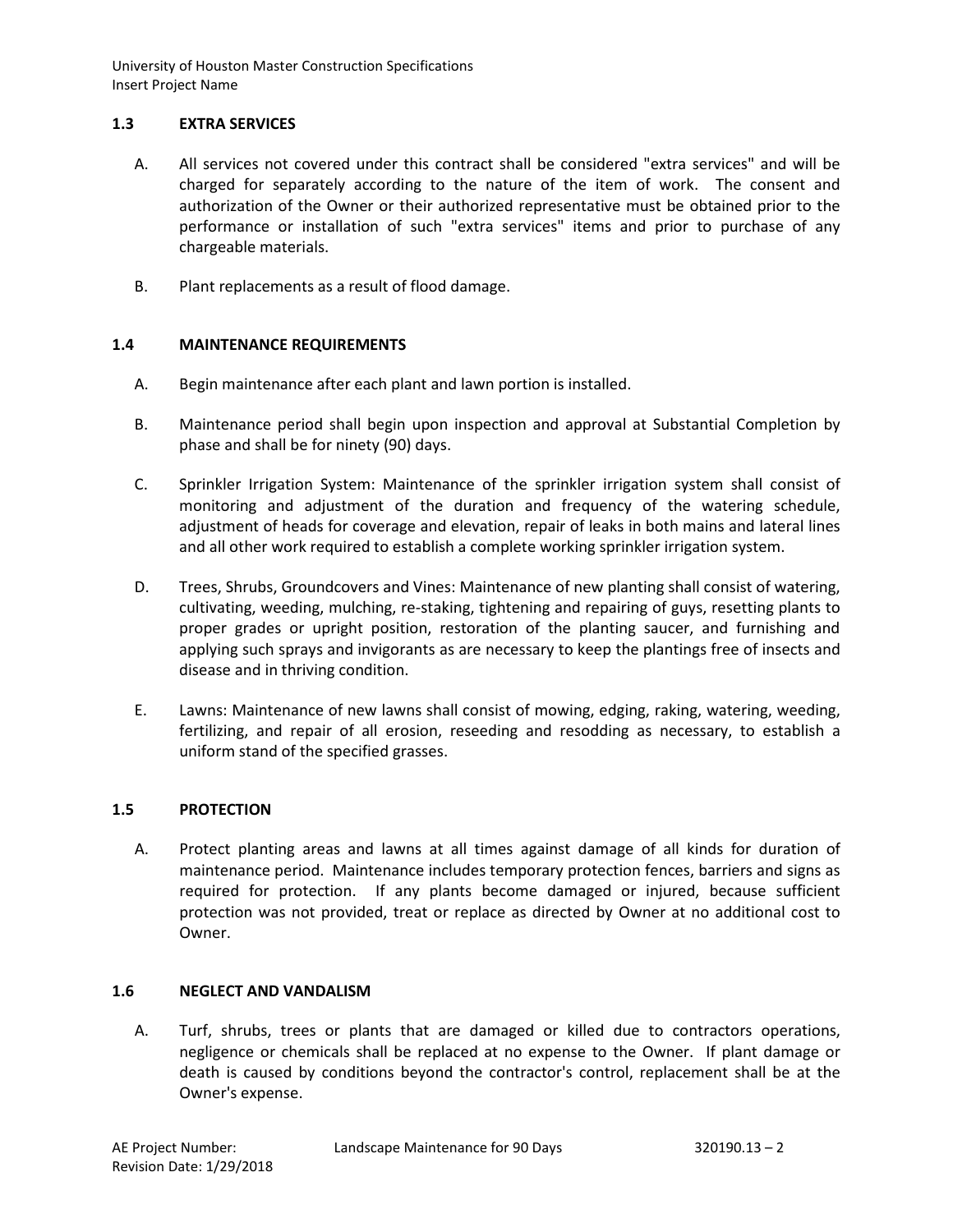# **1.3 EXTRA SERVICES**

- A. All services not covered under this contract shall be considered "extra services" and will be charged for separately according to the nature of the item of work. The consent and authorization of the Owner or their authorized representative must be obtained prior to the performance or installation of such "extra services" items and prior to purchase of any chargeable materials.
- B. Plant replacements as a result of flood damage.

# **1.4 MAINTENANCE REQUIREMENTS**

- A. Begin maintenance after each plant and lawn portion is installed.
- B. Maintenance period shall begin upon inspection and approval at Substantial Completion by phase and shall be for ninety (90) days.
- C. Sprinkler Irrigation System: Maintenance of the sprinkler irrigation system shall consist of monitoring and adjustment of the duration and frequency of the watering schedule, adjustment of heads for coverage and elevation, repair of leaks in both mains and lateral lines and all other work required to establish a complete working sprinkler irrigation system.
- D. Trees, Shrubs, Groundcovers and Vines: Maintenance of new planting shall consist of watering, cultivating, weeding, mulching, re-staking, tightening and repairing of guys, resetting plants to proper grades or upright position, restoration of the planting saucer, and furnishing and applying such sprays and invigorants as are necessary to keep the plantings free of insects and disease and in thriving condition.
- E. Lawns: Maintenance of new lawns shall consist of mowing, edging, raking, watering, weeding, fertilizing, and repair of all erosion, reseeding and resodding as necessary, to establish a uniform stand of the specified grasses.

### **1.5 PROTECTION**

A. Protect planting areas and lawns at all times against damage of all kinds for duration of maintenance period. Maintenance includes temporary protection fences, barriers and signs as required for protection. If any plants become damaged or injured, because sufficient protection was not provided, treat or replace as directed by Owner at no additional cost to Owner.

### **1.6 NEGLECT AND VANDALISM**

A. Turf, shrubs, trees or plants that are damaged or killed due to contractors operations, negligence or chemicals shall be replaced at no expense to the Owner. If plant damage or death is caused by conditions beyond the contractor's control, replacement shall be at the Owner's expense.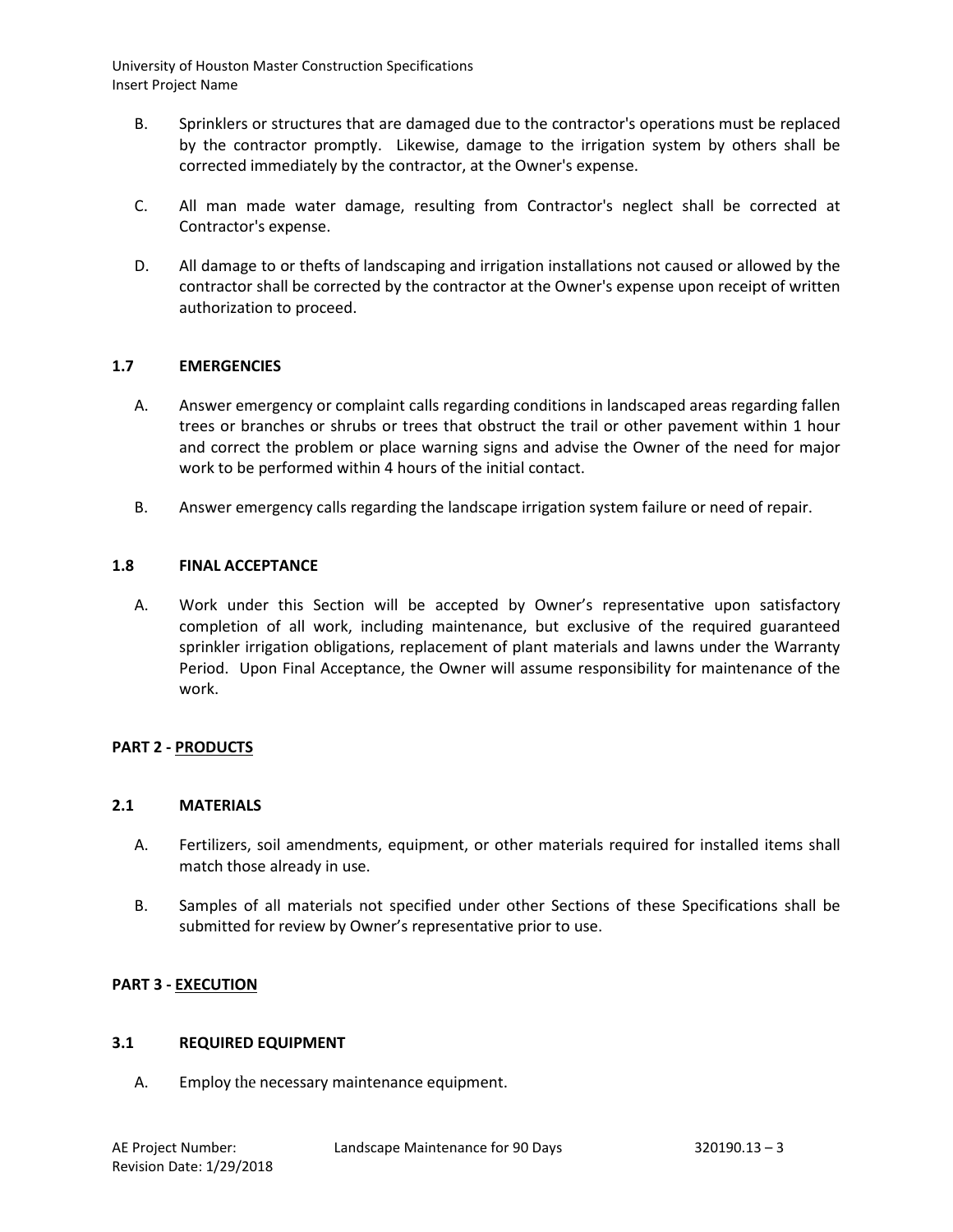- B. Sprinklers or structures that are damaged due to the contractor's operations must be replaced by the contractor promptly. Likewise, damage to the irrigation system by others shall be corrected immediately by the contractor, at the Owner's expense.
- C. All man made water damage, resulting from Contractor's neglect shall be corrected at Contractor's expense.
- D. All damage to or thefts of landscaping and irrigation installations not caused or allowed by the contractor shall be corrected by the contractor at the Owner's expense upon receipt of written authorization to proceed.

### **1.7 EMERGENCIES**

- A. Answer emergency or complaint calls regarding conditions in landscaped areas regarding fallen trees or branches or shrubs or trees that obstruct the trail or other pavement within 1 hour and correct the problem or place warning signs and advise the Owner of the need for major work to be performed within 4 hours of the initial contact.
- B. Answer emergency calls regarding the landscape irrigation system failure or need of repair.

#### **1.8 FINAL ACCEPTANCE**

A. Work under this Section will be accepted by Owner's representative upon satisfactory completion of all work, including maintenance, but exclusive of the required guaranteed sprinkler irrigation obligations, replacement of plant materials and lawns under the Warranty Period. Upon Final Acceptance, the Owner will assume responsibility for maintenance of the work.

### **PART 2 - PRODUCTS**

#### **2.1 MATERIALS**

- A. Fertilizers, soil amendments, equipment, or other materials required for installed items shall match those already in use.
- B. Samples of all materials not specified under other Sections of these Specifications shall be submitted for review by Owner's representative prior to use.

#### **PART 3 - EXECUTION**

#### **3.1 REQUIRED EQUIPMENT**

A. Employ the necessary maintenance equipment.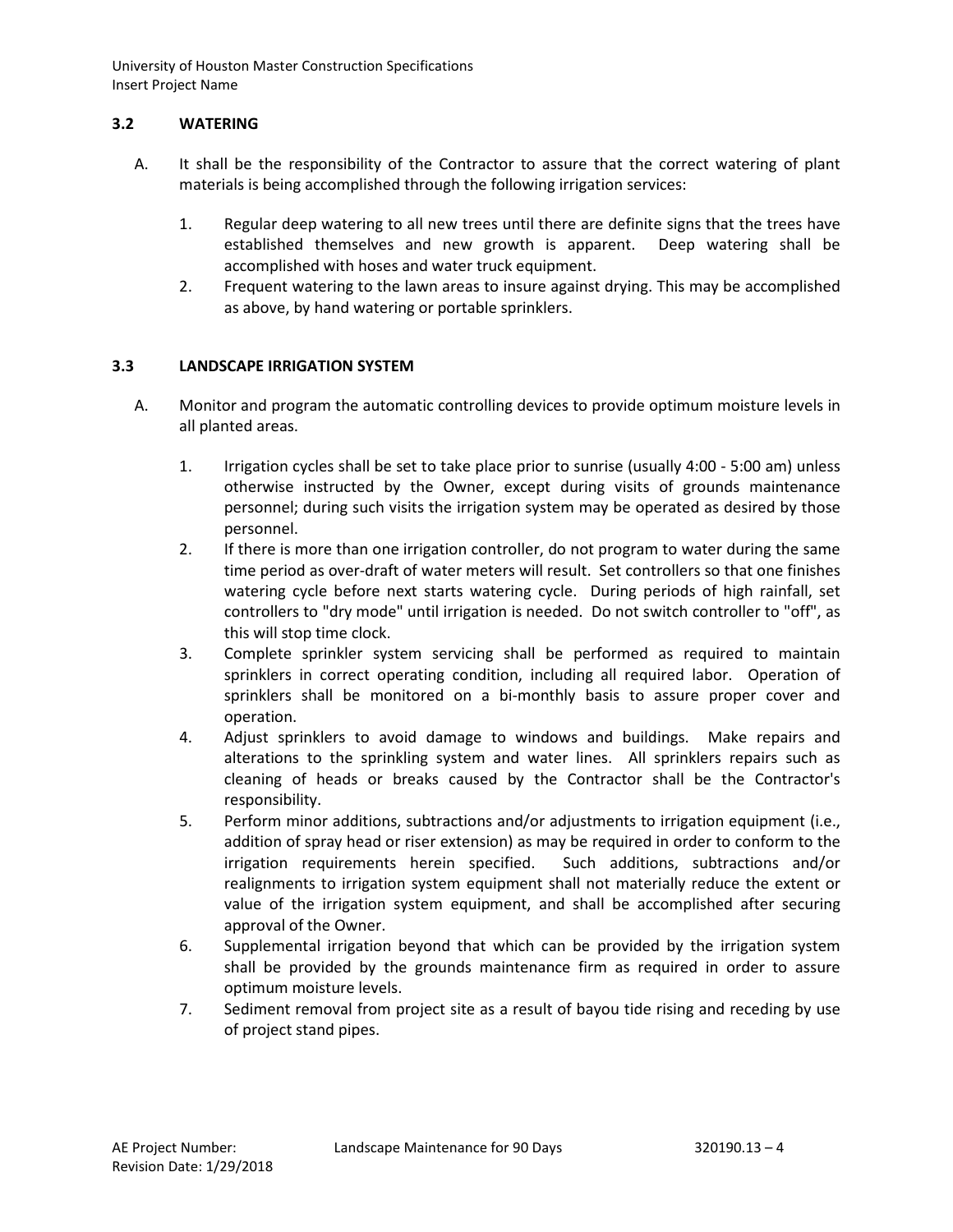# **3.2 WATERING**

- A. It shall be the responsibility of the Contractor to assure that the correct watering of plant materials is being accomplished through the following irrigation services:
	- 1. Regular deep watering to all new trees until there are definite signs that the trees have established themselves and new growth is apparent. Deep watering shall be accomplished with hoses and water truck equipment.
	- 2. Frequent watering to the lawn areas to insure against drying. This may be accomplished as above, by hand watering or portable sprinklers.

# **3.3 LANDSCAPE IRRIGATION SYSTEM**

- A. Monitor and program the automatic controlling devices to provide optimum moisture levels in all planted areas.
	- 1. Irrigation cycles shall be set to take place prior to sunrise (usually 4:00 5:00 am) unless otherwise instructed by the Owner, except during visits of grounds maintenance personnel; during such visits the irrigation system may be operated as desired by those personnel.
	- 2. If there is more than one irrigation controller, do not program to water during the same time period as over-draft of water meters will result. Set controllers so that one finishes watering cycle before next starts watering cycle. During periods of high rainfall, set controllers to "dry mode" until irrigation is needed. Do not switch controller to "off", as this will stop time clock.
	- 3. Complete sprinkler system servicing shall be performed as required to maintain sprinklers in correct operating condition, including all required labor. Operation of sprinklers shall be monitored on a bi-monthly basis to assure proper cover and operation.
	- 4. Adjust sprinklers to avoid damage to windows and buildings. Make repairs and alterations to the sprinkling system and water lines. All sprinklers repairs such as cleaning of heads or breaks caused by the Contractor shall be the Contractor's responsibility.
	- 5. Perform minor additions, subtractions and/or adjustments to irrigation equipment (i.e., addition of spray head or riser extension) as may be required in order to conform to the irrigation requirements herein specified. Such additions, subtractions and/or realignments to irrigation system equipment shall not materially reduce the extent or value of the irrigation system equipment, and shall be accomplished after securing approval of the Owner.
	- 6. Supplemental irrigation beyond that which can be provided by the irrigation system shall be provided by the grounds maintenance firm as required in order to assure optimum moisture levels.
	- 7. Sediment removal from project site as a result of bayou tide rising and receding by use of project stand pipes.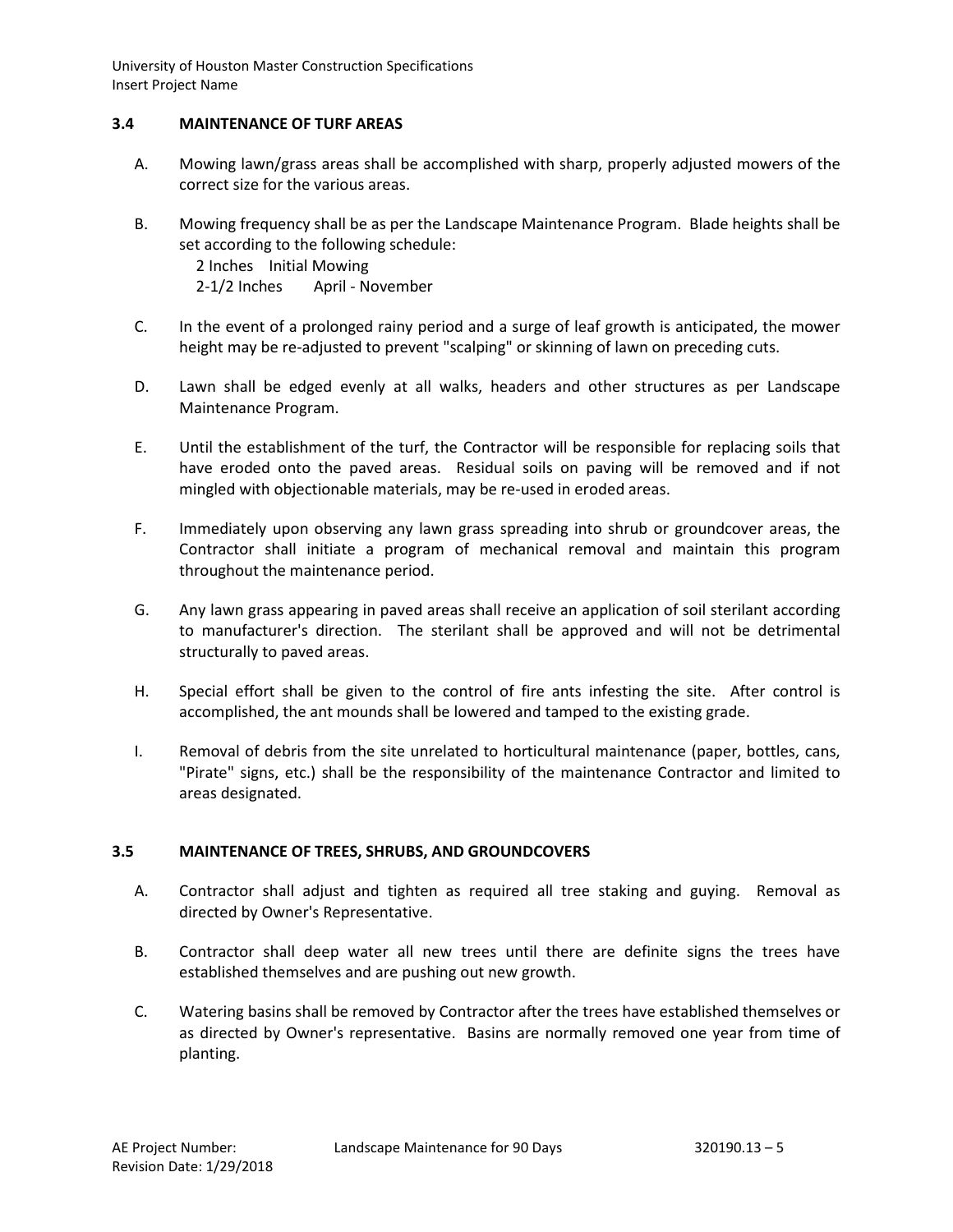# **3.4 MAINTENANCE OF TURF AREAS**

- A. Mowing lawn/grass areas shall be accomplished with sharp, properly adjusted mowers of the correct size for the various areas.
- B. Mowing frequency shall be as per the Landscape Maintenance Program. Blade heights shall be set according to the following schedule:

2 Inches Initial Mowing 2-1/2 Inches April - November

- C. In the event of a prolonged rainy period and a surge of leaf growth is anticipated, the mower height may be re-adjusted to prevent "scalping" or skinning of lawn on preceding cuts.
- D. Lawn shall be edged evenly at all walks, headers and other structures as per Landscape Maintenance Program.
- E. Until the establishment of the turf, the Contractor will be responsible for replacing soils that have eroded onto the paved areas. Residual soils on paving will be removed and if not mingled with objectionable materials, may be re-used in eroded areas.
- F. Immediately upon observing any lawn grass spreading into shrub or groundcover areas, the Contractor shall initiate a program of mechanical removal and maintain this program throughout the maintenance period.
- G. Any lawn grass appearing in paved areas shall receive an application of soil sterilant according to manufacturer's direction. The sterilant shall be approved and will not be detrimental structurally to paved areas.
- H. Special effort shall be given to the control of fire ants infesting the site. After control is accomplished, the ant mounds shall be lowered and tamped to the existing grade.
- I. Removal of debris from the site unrelated to horticultural maintenance (paper, bottles, cans, "Pirate" signs, etc.) shall be the responsibility of the maintenance Contractor and limited to areas designated.

### **3.5 MAINTENANCE OF TREES, SHRUBS, AND GROUNDCOVERS**

- A. Contractor shall adjust and tighten as required all tree staking and guying. Removal as directed by Owner's Representative.
- B. Contractor shall deep water all new trees until there are definite signs the trees have established themselves and are pushing out new growth.
- C. Watering basins shall be removed by Contractor after the trees have established themselves or as directed by Owner's representative. Basins are normally removed one year from time of planting.